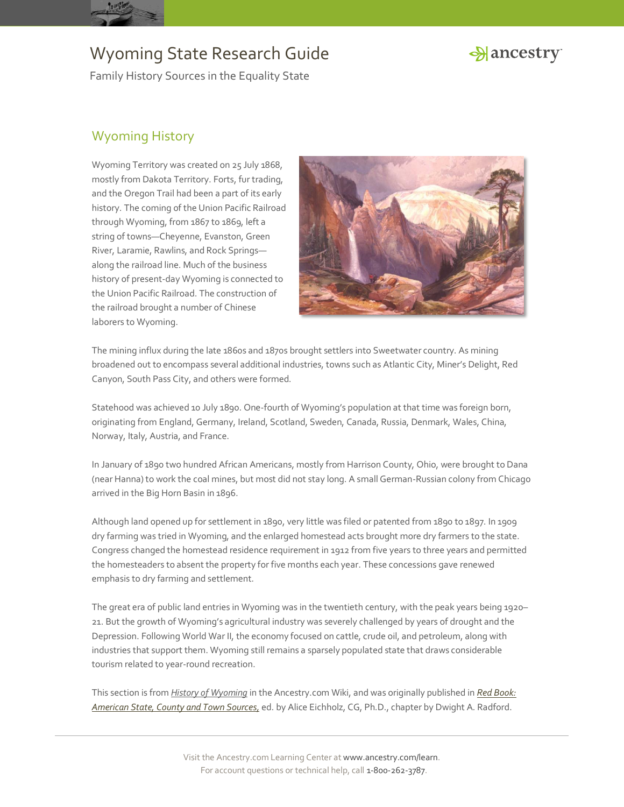



Family History Sources in the Equality State

### Wyoming History

Wyoming Territory was created on 25 July 1868, mostly from Dakota Territory. Forts, fur trading, and the Oregon Trail had been a part of its early history. The coming of the Union Pacific Railroad through Wyoming, from 1867 to 1869, left a string of towns—Cheyenne, Evanston, Green River, Laramie, Rawlins, and Rock Springs along the railroad line. Much of the business history of present-day Wyoming is connected to the Union Pacific Railroad. The construction of the railroad brought a number of Chinese laborers to Wyoming.



The mining influx during the late 1860s and 1870s brought settlers into Sweetwater country. As mining broadened out to encompass several additional industries, towns such as Atlantic City, Miner's Delight, Red Canyon, South Pass City, and others were formed.

Statehood was achieved 10 July 1890. One-fourth of Wyoming's population at that time was foreign born, originating from England, Germany, Ireland, Scotland, Sweden, Canada, Russia, Denmark, Wales, China, Norway, Italy, Austria, and France.

In January of 1890 two hundred African Americans, mostly from Harrison County, Ohio, were brought to Dana (near Hanna) to work the coal mines, but most did not stay long. A small German-Russian colony from Chicago arrived in the Big Horn Basin in 1896.

Although land opened up for settlement in 1890, very little was filed or patented from 1890 to 1897. In 1909 dry farming was tried in Wyoming, and the enlarged homestead acts brought more dry farmers to the state. Congress changed the homestead residence requirement in 1912 from five years to three years and permitted the homesteaders to absent the property for five months each year. These concessions gave renewed emphasis to dry farming and settlement.

The great era of public land entries in Wyoming was in the twentieth century, with the peak years being 1920– 21. But the growth of Wyoming's agricultural industry was severely challenged by years of drought and the Depression. Following World War II, the economy focused on cattle, crude oil, and petroleum, along with industries that support them. Wyoming still remains a sparsely populated state that draws considerable tourism related to year-round recreation.

This section is from *[History of Wyoming](http://www.ancestry.com/wiki/index.php?title=Wyoming_Family_History_Research)* in the Ancestry.com Wiki, and was originally published in *[Red Book:](http://bit.ly/vzy0vW)  [American State, County and Town Sources,](http://bit.ly/vzy0vW)* ed. by Alice Eichholz, CG, Ph.D., chapter by Dwight A. Radford.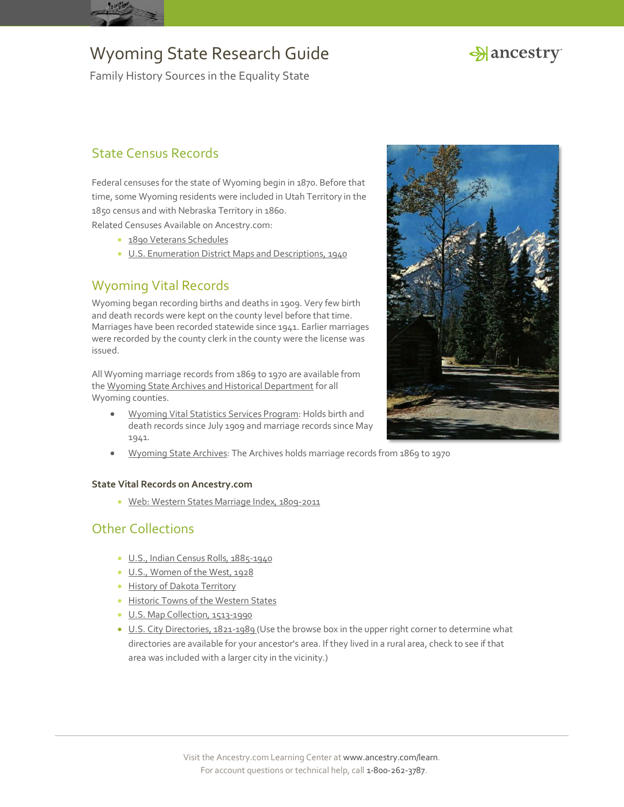



Family History Sources in the Equality State

### State Census Records

Federal censuses for the state of Wyoming begin in 1870. Before that time, some Wyoming residents were included in Utah Territory in the 1850 census and with Nebraska Territory in 1860.

Related Censuses Available on Ancestry.com:

- **[1890 Veterans Schedules](http://search.ancestry.com/search/db.aspx?dbid=8667)**
- [U.S. Enumeration District Maps and Descriptions, 1940](http://search.ancestry.com/search/db.aspx?dbid=3028)

### Wyoming Vital Records

Wyoming began recording births and deaths in 1909. Very few birth and death records were kept on the county level before that time. Marriages have been recorded statewide since 1941. Earlier marriages were recorded by the county clerk in the county were the license was issued.

All Wyoming marriage records from 1869 to 1970 are available from th[e Wyoming State Archives and Historical Department](http://wyoarchives.state.wy.us/Archives/VitalRecords.aspx) for all Wyoming counties.

- [Wyoming Vital Statistics Services Program:](http://www.health.wyo.gov/rfhd/vital_records/index.html) Holds birth and death records since July 1909 and marriage records since May 1941.
- [Wyoming State Archives](http://wyoarchives.state.wy.us/): The Archives holds marriage records from 1869 to 1970

#### **State Vital Records on Ancestry.com**

· [Web: Western States Marriage Index, 1809-2011](http://search.ancestry.com/search/db.aspx?dbid=70016)

#### Other Collections

- [U.S., Indian Census Rolls, 1885-1940](http://search.ancestry.com/search/db.aspx?dbid=1059)
- [U.S., Women of the West, 1928](http://search.ancestry.com/search/db.aspx?dbid=2513)
- **[History of Dakota Territory](http://search.ancestry.com/search/db.aspx?dbid=25507)**
- **[Historic Towns of the](http://search.ancestry.com/search/db.aspx?dbid=25158) Western States**
- [U.S. Map Collection, 1513-1990](http://search.ancestry.com/search/db.aspx?dbid=8739)
- [U.S. City Directories, 1821-1989](http://search.ancestry.com/search/db.aspx?dbid=2469) (Use the browse box in the upper right corner to determine what directories are available for your ancestor's area. If they lived in a rural area, check to see if that area was included with a larger city in the vicinity.)

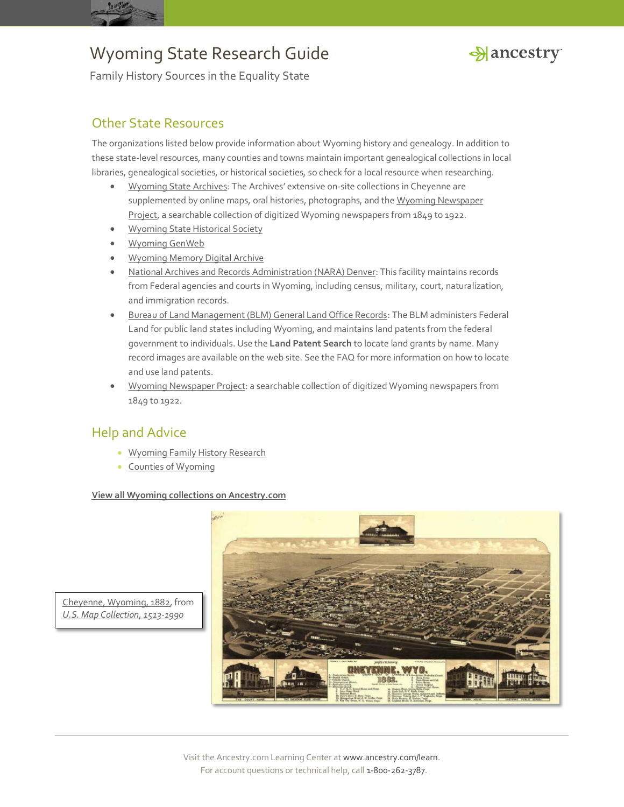



Family History Sources in the Equality State

#### Other State Resources

The organizations listed below provide information about Wyoming history and genealogy. In addition to these state-level resources, many counties and towns maintain important genealogical collections in local libraries, genealogical societies, or historical societies, so check for a local resource when researching.

- [Wyoming State Archives](http://wyoarchives.state.wy.us/): The Archives' extensive on-site collections in Cheyenne are supplemented by online maps, oral histories, photographs, and the Wyoming Newspaper [Project,](http://wyonewspapers.org/) a searchable collection of digitized Wyoming newspapers from 1849 to 1922.
- [Wyoming State Historical Society](http://www.wyshs.org/)
- [Wyoming GenWeb](http://rootsweb.ancestry.com/~wygenweb/)
- [Wyoming Memory Digital Archive](http://www.wyomingmemory.org/)
- [National Archives and Records Administration \(NARA\) Denver:](http://www.archives.gov/denver/) This facility maintains records from Federal agencies and courts in Wyoming, including census, military, court, naturalization, and immigration records.
- [Bureau of Land Management \(BLM\) General Land Office Records:](http://www.glorecords.blm.gov/) The BLM administers Federal Land for public land states including Wyoming, and maintains land patents from the federal government to individuals. Use the **Land Patent Search** to locate land grants by name. Many record images are available on the web site. See the FAQ for more information on how to locate and use land patents.
- [Wyoming Newspaper Project:](http://wyonewspapers.org/) a searchable collection of digitized Wyoming newspapers from 1849 to 1922.

#### Help and Advice

- **[Wyoming Family History Research](http://www.ancestry.com/wiki/index.php?title=Wyoming_Family_History_Research)**
- [Counties of Wyoming](http://www.ancestry.com/wiki/index.php?title=Counties_of_Wyoming)

#### **View all Wyoming [collections on Ancestry.com](http://search.ancestry.com/Places/US/Wyoming/Default.aspx)**



[Cheyenne, Wyoming, 1882,](http://interactive.ancestry.com/8739/C006_001-2099?backurl=http%3a%2f%2fsearch.ancestry.com%2fsearch%2fdb.aspx%3fdbid%3d8739%26path%3d&ssrc=&backlabel=ReturnBrowsing) from *[U.S. Map Collection, 1513-1990](http://search.ancestry.com/search/db.aspx?dbid=8739)*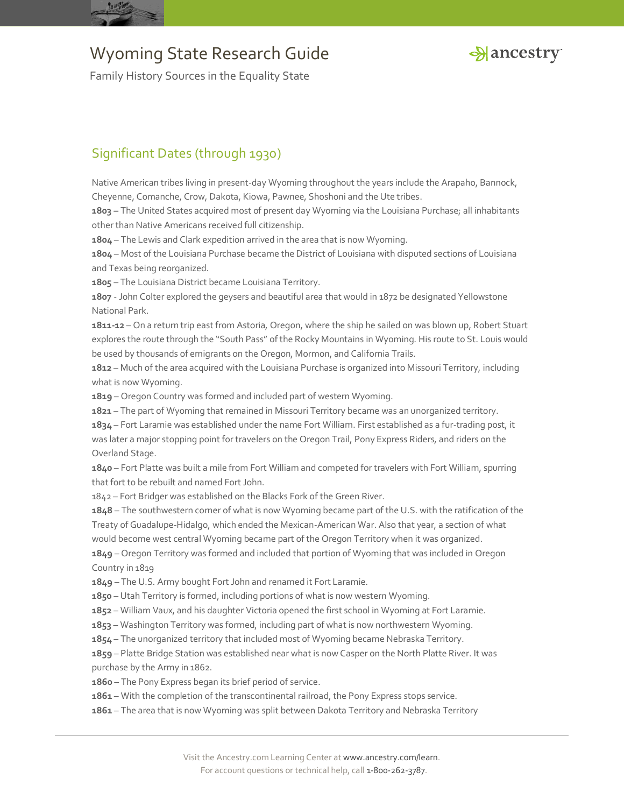



Family History Sources in the Equality State

### Significant Dates (through 1930)

Native American tribes living in present-day Wyoming throughout the years include the Arapaho, Bannock, Cheyenne, Comanche, Crow, Dakota, Kiowa, Pawnee, Shoshoni and the Ute tribes.

**1803 –** The United States acquired most of present day Wyoming via the Louisiana Purchase; all inhabitants other than Native Americans received full citizenship.

**1804** – The Lewis and Clark expedition arrived in the area that is now Wyoming.

**1804** – Most of the Louisiana Purchase became the District of Louisiana with disputed sections of Louisiana and Texas being reorganized.

**1805** – The Louisiana District became Louisiana Territory.

**1807** - John Colter explored the geysers and beautiful area that would in 1872 be designated Yellowstone National Park.

**1811-12** – On a return trip east from Astoria, Oregon, where the ship he sailed on was blown up, Robert Stuart explores the route through the "South Pass" of the Rocky Mountains in Wyoming. His route to St. Louis would be used by thousands of emigrants on the Oregon, Mormon, and California Trails.

**1812** – Much of the area acquired with the Louisiana Purchase is organized into Missouri Territory, including what is now Wyoming.

**1819** – Oregon Country was formed and included part of western Wyoming.

**1821** – The part of Wyoming that remained in Missouri Territory became was an unorganized territory.

**1834** – Fort Laramie was established under the name Fort William. First established as a fur-trading post, it was later a major stopping point for travelers on the Oregon Trail, Pony Express Riders, and riders on the Overland Stage.

**1840** – Fort Platte was built a mile from Fort William and competed for travelers with Fort William, spurring that fort to be rebuilt and named Fort John.

1842 – Fort Bridger was established on the Blacks Fork of the Green River.

**1848** – The southwestern corner of what is now Wyoming became part of the U.S. with the ratification of the Treaty of Guadalupe-Hidalgo, which ended the Mexican-American War. Also that year, a section of what would become west central Wyoming became part of the Oregon Territory when it was organized. **1849** – Oregon Territory was formed and included that portion of Wyoming that was included in Oregon Country in 1819

**1849** – The U.S. Army bought Fort John and renamed it Fort Laramie.

**1850** – Utah Territory is formed, including portions of what is now western Wyoming.

**1852** – William Vaux, and his daughter Victoria opened the first school in Wyoming at Fort Laramie.

**1853** – Washington Territory was formed, including part of what is now northwestern Wyoming.

**1854** – The unorganized territory that included most of Wyoming became Nebraska Territory.

**1859** – Platte Bridge Station was established near what is now Casper on the North Platte River. It was purchase by the Army in 1862.

**1860** – The Pony Express began its brief period of service.

**1861** – With the completion of the transcontinental railroad, the Pony Express stops service.

**1861** – The area that is now Wyoming was split between Dakota Territory and Nebraska Territory